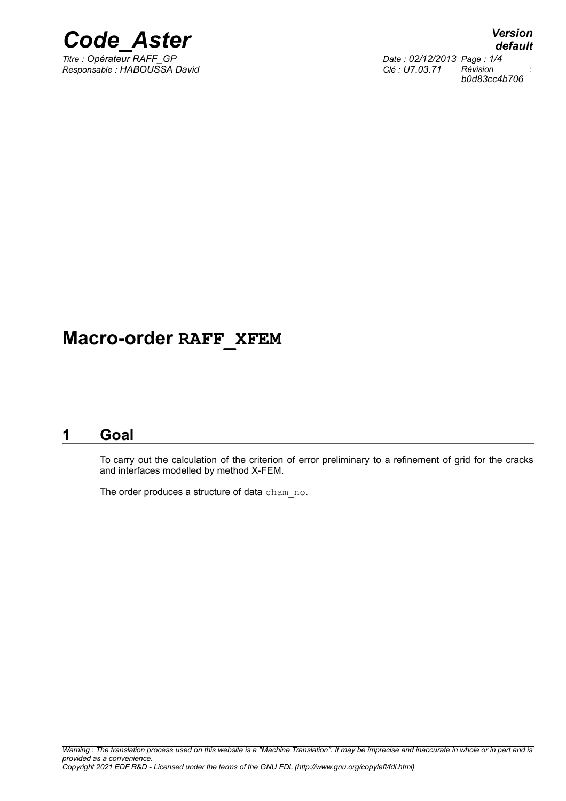

*Titre : Opérateur RAFF\_GP Date : 02/12/2013 Page : 1/4*

*default*

*Responsable : HABOUSSA David Clé : U7.03.71 Révision : b0d83cc4b706*

# **Macro-order RAFF\_XFEM**

# **1 Goal**

To carry out the calculation of the criterion of error preliminary to a refinement of grid for the cracks and interfaces modelled by method X-FEM.

The order produces a structure of data cham no.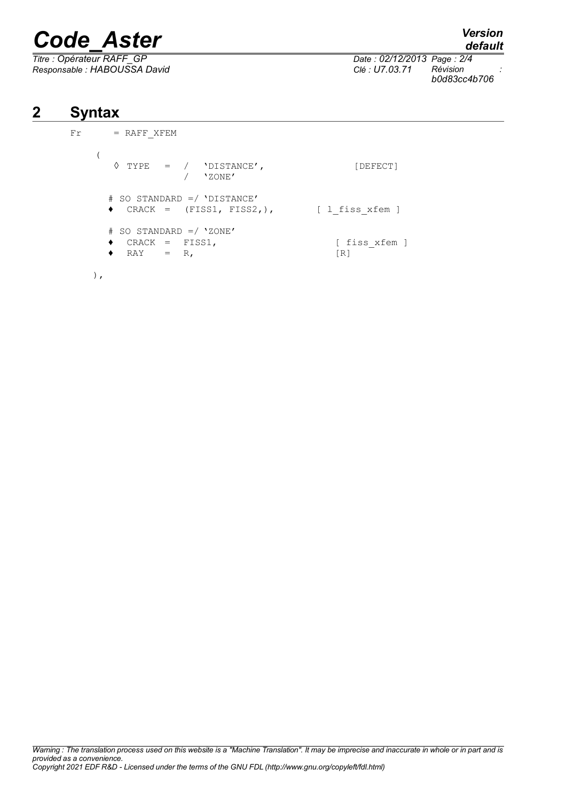# *Code\_Aster Version*

*Titre : Opérateur RAFF\_GP Date : 02/12/2013 Page : 2/4*

*default*

*Responsable : HABOUSSA David Clé : U7.03.71 Révision : b0d83cc4b706*

# **2 Syntax**

```
Fr = RAFF_XFEM
(
   \sqrt{V} TYPE = / VDISTANCE', [DEFECT]
               / 'ZONE'
  # SO STANDARD =/ 'DISTANCE'
  \bullet CRACK = (FISS1, FISS2,), [ l fiss xfem ]
  # SO STANDARD =/ 'ZONE'
  ♦ CRACK = FISS1, [ fiss_xfem ]
  \bullet RAY = R, [R]
 ),
```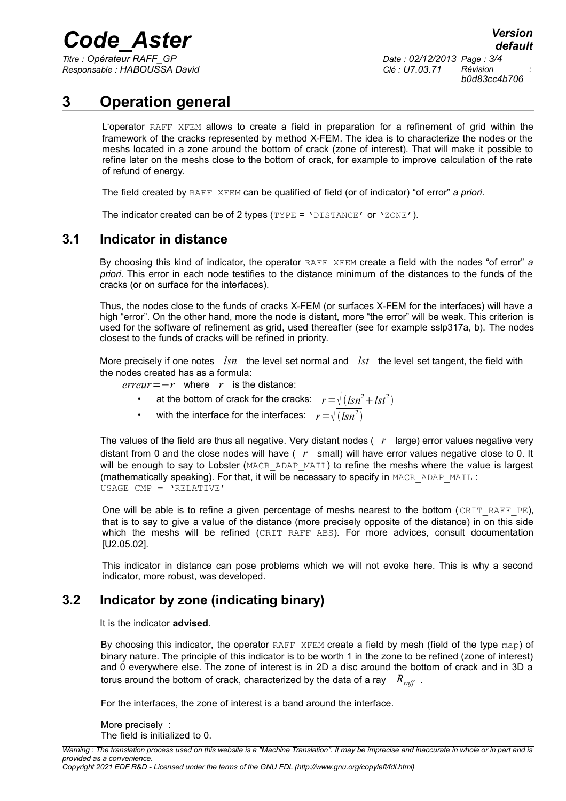# *Code\_Aster Version*

*Titre : Opérateur RAFF\_GP Date : 02/12/2013 Page : 3/4 Responsable : HABOUSSA David Clé : U7.03.71 Révision :*

*b0d83cc4b706*

# **3 Operation general**

<span id="page-2-2"></span>L'operator RAFF XFEM allows to create a field in preparation for a refinement of grid within the framework of the cracks represented by method X-FEM. The idea is to characterize the nodes or the meshs located in a zone around the bottom of crack (zone of interest). That will make it possible to refine later on the meshs close to the bottom of crack, for example to improve calculation of the rate of refund of energy.

The field created by RAFF\_XFEM can be qualified of field (or of indicator) "of error" *a priori*.

<span id="page-2-0"></span>The indicator created can be of 2 types (TYPE = 'DISTANCE' or 'ZONE').

#### **3.1 Indicator in distance**

By choosing this kind of indicator, the operator RAFF\_XFEM create a field with the nodes "of error" *a priori*. This error in each node testifies to the distance minimum of the distances to the funds of the cracks (or on surface for the interfaces).

Thus, the nodes close to the funds of cracks X-FEM (or surfaces X-FEM for the interfaces) will have a high "error". On the other hand, more the node is distant, more "the error" will be weak. This criterion is used for the software of refinement as grid, used thereafter (see for example sslp317a, b). The nodes closest to the funds of cracks will be refined in priority.

More precisely if one notes *lsn* the level set normal and *lst* the level set tangent, the field with the nodes created has as a formula:

*erreur*=−*r* where *r* is the distance:

- at the bottom of crack for the cracks:  $r = \sqrt{(lsn^2 + lst^2)}$
- with the interface for the interfaces:  $r = \sqrt{(lsn^2)}$

The values of the field are thus all negative. Very distant nodes ( *r* large) error values negative very distant from 0 and the close nodes will have ( *r* small) will have error values negative close to 0. It will be enough to say to Lobster (MACR, ADAP, MAIL) to refine the meshs where the value is largest (mathematically speaking). For that, it will be necessary to specify in MACR\_ADAP\_MAIL : USAGE\_CMP = 'RELATIVE'

One will be able is to refine a given percentage of meshs nearest to the bottom (CRIT\_RAFF\_PE), that is to say to give a value of the distance (more precisely opposite of the distance) in on this side which the meshs will be refined (CRIT RAFF ABS). For more advices, consult documentation [U2.05.02].

This indicator in distance can pose problems which we will not evoke here. This is why a second indicator, more robust, was developed.

#### **3.2 Indicator by zone (indicating binary)**

<span id="page-2-1"></span>It is the indicator **advised**.

By choosing this indicator, the operator RAFF\_XFEM create a field by mesh (field of the type map) of binary nature. The principle of this indicator is to be worth 1 in the zone to be refined (zone of interest) and 0 everywhere else. The zone of interest is in 2D a disc around the bottom of crack and in 3D a torus around the bottom of crack, characterized by the data of a ray *Rraff* .

For the interfaces, the zone of interest is a band around the interface.

More precisely : The field is initialized to 0.